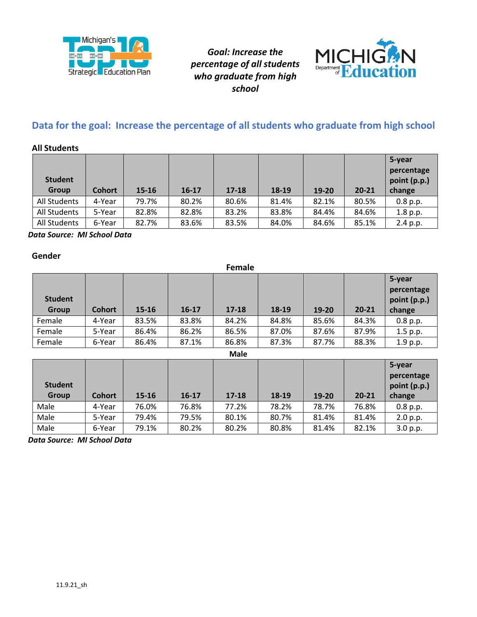



# **Data for the goal: Increase the percentage of all students who graduate from high school**

### **All Students**

| <b>Student</b><br><b>Group</b> | <b>Cohort</b> | $15 - 16$ | $16-17$ | $17 - 18$ | 18-19 | 19-20 | $20 - 21$ | 5-year<br>percentage<br>point (p.p.)<br>change |
|--------------------------------|---------------|-----------|---------|-----------|-------|-------|-----------|------------------------------------------------|
| All Students                   | 4-Year        | 79.7%     | 80.2%   | 80.6%     | 81.4% | 82.1% | 80.5%     | 0.8 p.p.                                       |
| All Students                   | 5-Year        | 82.8%     | 82.8%   | 83.2%     | 83.8% | 84.4% | 84.6%     | 1.8 p.p.                                       |
| All Students                   | 6-Year        | 82.7%     | 83.6%   | 83.5%     | 84.0% | 84.6% | 85.1%     | 2.4 p.p.                                       |

 *Data Source: MI School Data* 

#### **Gender**

|                         | Female        |       |         |           |       |       |           |                                                |  |  |  |  |
|-------------------------|---------------|-------|---------|-----------|-------|-------|-----------|------------------------------------------------|--|--|--|--|
| <b>Student</b><br>Group | <b>Cohort</b> | 15-16 | $16-17$ | $17 - 18$ | 18-19 | 19-20 | $20 - 21$ | 5-year<br>percentage<br>point (p.p.)<br>change |  |  |  |  |
| Female                  | 4-Year        | 83.5% | 83.8%   | 84.2%     | 84.8% | 85.6% | 84.3%     | 0.8 p.p.                                       |  |  |  |  |
| Female                  | 5-Year        | 86.4% | 86.2%   | 86.5%     | 87.0% | 87.6% | 87.9%     | 1.5 p.p.                                       |  |  |  |  |
| Female                  | 6-Year        | 86.4% | 87.1%   | 86.8%     | 87.3% | 87.7% | 88.3%     | 1.9 p.p.                                       |  |  |  |  |

| <b>Male</b>             |               |           |           |         |       |           |           |                                                |  |  |
|-------------------------|---------------|-----------|-----------|---------|-------|-----------|-----------|------------------------------------------------|--|--|
| <b>Student</b><br>Group | <b>Cohort</b> | $15 - 16$ | $16 - 17$ | $17-18$ | 18-19 | $19 - 20$ | $20 - 21$ | 5-year<br>percentage<br>point (p.p.)<br>change |  |  |
| Male                    | 4-Year        | 76.0%     | 76.8%     | 77.2%   | 78.2% | 78.7%     | 76.8%     | 0.8 p.p.                                       |  |  |
| Male                    | 5-Year        | 79.4%     | 79.5%     | 80.1%   | 80.7% | 81.4%     | 81.4%     | 2.0 p.p.                                       |  |  |
| Male                    | 6-Year        | 79.1%     | 80.2%     | 80.2%   | 80.8% | 81.4%     | 82.1%     | 3.0 p.p.                                       |  |  |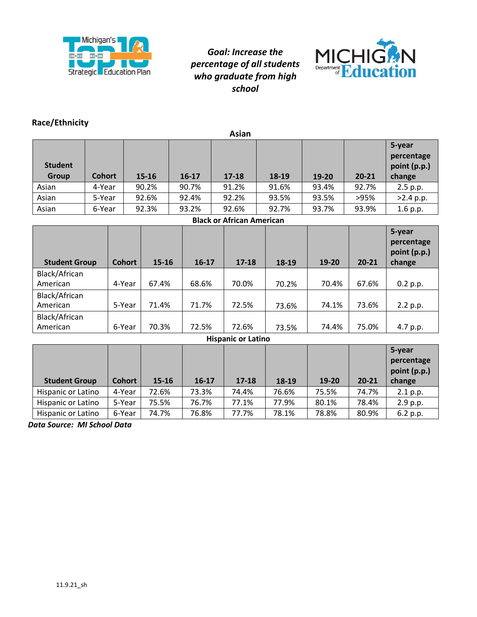



### **Race/Ethnicity**

| Asian                          |                                  |               |           |           |                           |       |       |           |                                                |  |
|--------------------------------|----------------------------------|---------------|-----------|-----------|---------------------------|-------|-------|-----------|------------------------------------------------|--|
| <b>Student</b><br><b>Group</b> | <b>Cohort</b>                    |               | $15 - 16$ | $16 - 17$ | $17 - 18$                 | 18-19 | 19-20 | $20 - 21$ | 5-year<br>percentage<br>point (p.p.)<br>change |  |
| Asian                          | 4-Year                           |               | 90.2%     | 90.7%     | 91.2%                     | 91.6% | 93.4% | 92.7%     | 2.5 p.p.                                       |  |
| Asian                          | 5-Year                           |               | 92.6%     | 92.4%     | 92.2%                     | 93.5% | 93.5% | >95%      | $>2.4$ p.p.                                    |  |
| Asian                          | 6-Year                           |               | 92.3%     | 93.2%     | 92.6%                     | 92.7% | 93.7% | 93.9%     | 1.6 p.p.                                       |  |
|                                | <b>Black or African American</b> |               |           |           |                           |       |       |           |                                                |  |
| <b>Student Group</b>           |                                  | <b>Cohort</b> | 15-16     | $16-17$   | $17 - 18$                 | 18-19 | 19-20 | $20 - 21$ | 5-year<br>percentage<br>point (p.p.)<br>change |  |
| Black/African<br>American      |                                  | 4-Year        | 67.4%     | 68.6%     | 70.0%                     | 70.2% | 70.4% | 67.6%     | 0.2 p.p.                                       |  |
| Black/African<br>American      |                                  | 5-Year        | 71.4%     | 71.7%     | 72.5%                     | 73.6% | 74.1% | 73.6%     | 2.2 p.p.                                       |  |
| Black/African<br>American      |                                  | 6-Year        | 70.3%     | 72.5%     | 72.6%                     | 73.5% | 74.4% | 75.0%     | 4.7 p.p.                                       |  |
|                                |                                  |               |           |           | <b>Hispanic or Latino</b> |       |       |           |                                                |  |
| <b>Student Group</b>           |                                  | <b>Cohort</b> | 15-16     | $16-17$   | $17 - 18$                 | 18-19 | 19-20 | $20 - 21$ | 5-year<br>percentage<br>point (p.p.)<br>change |  |
| Hispanic or Latino             |                                  | 4-Year        | 72.6%     | 73.3%     | 74.4%                     | 76.6% | 75.5% | 74.7%     | 2.1 p.p.                                       |  |
| Hispanic or Latino             |                                  | 5-Year        | 75.5%     | 76.7%     | 77.1%                     | 77.9% | 80.1% | 78.4%     | 2.9 p.p.                                       |  |
| Hispanic or Latino             |                                  | 6-Year        | 74.7%     | 76.8%     | 77.7%                     | 78.1% | 78.8% | 80.9%     | 6.2 p.p.                                       |  |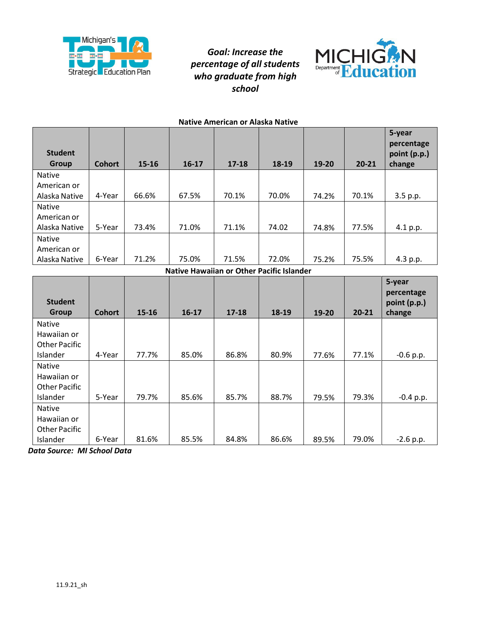



| <b>Native American or Alaska Native</b> |               |       |           |           |       |       |           |                                                |  |  |
|-----------------------------------------|---------------|-------|-----------|-----------|-------|-------|-----------|------------------------------------------------|--|--|
| <b>Student</b><br>Group                 | <b>Cohort</b> | 15-16 | $16 - 17$ | $17 - 18$ | 18-19 | 19-20 | $20 - 21$ | 5-year<br>percentage<br>point (p.p.)<br>change |  |  |
| <b>Native</b>                           |               |       |           |           |       |       |           |                                                |  |  |
| American or                             |               |       |           |           |       |       |           |                                                |  |  |
| Alaska Native                           | 4-Year        | 66.6% | 67.5%     | 70.1%     | 70.0% | 74.2% | 70.1%     | 3.5 p.p.                                       |  |  |
| <b>Native</b>                           |               |       |           |           |       |       |           |                                                |  |  |
| American or                             |               |       |           |           |       |       |           |                                                |  |  |
| Alaska Native                           | 5-Year        | 73.4% | 71.0%     | 71.1%     | 74.02 | 74.8% | 77.5%     | 4.1 p.p.                                       |  |  |
| <b>Native</b>                           |               |       |           |           |       |       |           |                                                |  |  |
| American or                             |               |       |           |           |       |       |           |                                                |  |  |
| Alaska Native                           | 6-Year        | 71.2% | 75.0%     | 71.5%     | 72.0% | 75.2% | 75.5%     | 4.3 p.p.                                       |  |  |
|                                         |               |       |           |           |       |       |           |                                                |  |  |

**Native Hawaiian or Other Pacific Islander** 

| <b>Student</b><br>Group | <b>Cohort</b> | 15-16 | $16-17$ | $17 - 18$ | 18-19 | 19-20 | $20 - 21$ | 5-year<br>percentage<br>point (p.p.)<br>change |
|-------------------------|---------------|-------|---------|-----------|-------|-------|-----------|------------------------------------------------|
| <b>Native</b>           |               |       |         |           |       |       |           |                                                |
| Hawaiian or             |               |       |         |           |       |       |           |                                                |
| <b>Other Pacific</b>    |               |       |         |           |       |       |           |                                                |
| Islander                | 4-Year        | 77.7% | 85.0%   | 86.8%     | 80.9% | 77.6% | 77.1%     | $-0.6 p.p.$                                    |
| <b>Native</b>           |               |       |         |           |       |       |           |                                                |
| Hawaiian or             |               |       |         |           |       |       |           |                                                |
| <b>Other Pacific</b>    |               |       |         |           |       |       |           |                                                |
| Islander                | 5-Year        | 79.7% | 85.6%   | 85.7%     | 88.7% | 79.5% | 79.3%     | $-0.4$ p.p.                                    |
| <b>Native</b>           |               |       |         |           |       |       |           |                                                |
| Hawaiian or             |               |       |         |           |       |       |           |                                                |
| <b>Other Pacific</b>    |               |       |         |           |       |       |           |                                                |
| Islander                | 6-Year        | 81.6% | 85.5%   | 84.8%     | 86.6% | 89.5% | 79.0%     | $-2.6$ p.p.                                    |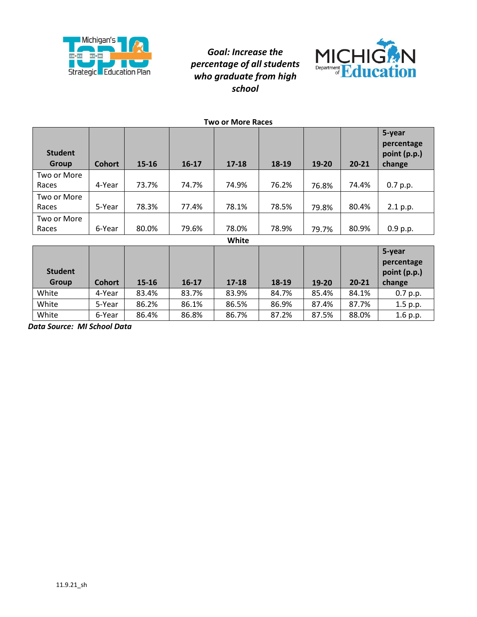



| <b>Two or More Races</b> |               |           |           |           |       |       |           |                                                |  |  |
|--------------------------|---------------|-----------|-----------|-----------|-------|-------|-----------|------------------------------------------------|--|--|
| <b>Student</b><br>Group  | <b>Cohort</b> | $15 - 16$ | $16 - 17$ | $17 - 18$ | 18-19 | 19-20 | $20 - 21$ | 5-year<br>percentage<br>point (p.p.)<br>change |  |  |
| Two or More              |               |           |           |           |       |       |           |                                                |  |  |
| Races                    | 4-Year        | 73.7%     | 74.7%     | 74.9%     | 76.2% | 76.8% | 74.4%     | 0.7 p.p.                                       |  |  |
| Two or More              |               |           |           |           |       |       |           |                                                |  |  |
| Races                    | 5-Year        | 78.3%     | 77.4%     | 78.1%     | 78.5% | 79.8% | 80.4%     | 2.1 p.p.                                       |  |  |
| Two or More              |               |           |           |           |       |       |           |                                                |  |  |
| Races                    | 6-Year        | 80.0%     | 79.6%     | 78.0%     | 78.9% | 79.7% | 80.9%     | 0.9 p.p.                                       |  |  |
|                          | .             |           |           |           |       |       |           |                                                |  |  |

**White** 

| <b>Student</b><br><b>Group</b> | <b>Cohort</b> | $15 - 16$ | $16 - 17$ | $17 - 18$ | 18-19 | 19-20 | $20 - 21$ | 5-year<br>percentage<br>point (p.p.)<br>change |
|--------------------------------|---------------|-----------|-----------|-----------|-------|-------|-----------|------------------------------------------------|
| White                          | 4-Year        | 83.4%     | 83.7%     | 83.9%     | 84.7% | 85.4% | 84.1%     | 0.7 p.p.                                       |
| White                          | 5-Year        | 86.2%     | 86.1%     | 86.5%     | 86.9% | 87.4% | 87.7%     | $1.5$ p.p.                                     |
| White                          | 6-Year        | 86.4%     | 86.8%     | 86.7%     | 87.2% | 87.5% | 88.0%     | 1.6 p.p.                                       |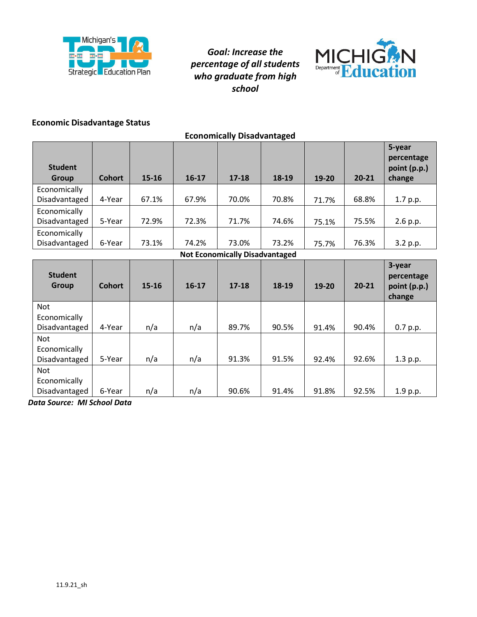

**Economically Disadvantaged** 



### **Economic Disadvantage Status**

| <b>Student</b><br>Group                     | <b>Cohort</b> | 15-16     | $16-17$ | $17 - 18$ | 18-19 | 19-20 | $20 - 21$ | 5-year<br>percentage<br>point (p.p.)<br>change |  |  |
|---------------------------------------------|---------------|-----------|---------|-----------|-------|-------|-----------|------------------------------------------------|--|--|
| Economically<br>Disadvantaged               | 4-Year        | 67.1%     | 67.9%   | 70.0%     | 70.8% | 71.7% | 68.8%     | 1.7 p.p.                                       |  |  |
| Economically<br>Disadvantaged               | 5-Year        | 72.9%     | 72.3%   | 71.7%     | 74.6% | 75.1% | 75.5%     | 2.6 p.p.                                       |  |  |
| Economically<br>Disadvantaged               | 6-Year        | 73.1%     | 74.2%   | 73.0%     | 73.2% | 75.7% | 76.3%     | 3.2 p.p.                                       |  |  |
| <b>Not Economically Disadvantaged</b>       |               |           |         |           |       |       |           |                                                |  |  |
| <b>Student</b><br><b>Group</b>              | <b>Cohort</b> | $15 - 16$ | $16-17$ | $17 - 18$ | 18-19 | 19-20 | $20 - 21$ | 3-year<br>percentage<br>point (p.p.)           |  |  |
|                                             |               |           |         |           |       |       |           | change                                         |  |  |
| <b>Not</b><br>Economically<br>Disadvantaged | 4-Year        | n/a       | n/a     | 89.7%     | 90.5% | 91.4% | 90.4%     |                                                |  |  |
| <b>Not</b><br>Economically<br>Disadvantaged | 5-Year        | n/a       | n/a     | 91.3%     | 91.5% | 92.4% | 92.6%     | 0.7 p.p.<br>1.3 p.p.                           |  |  |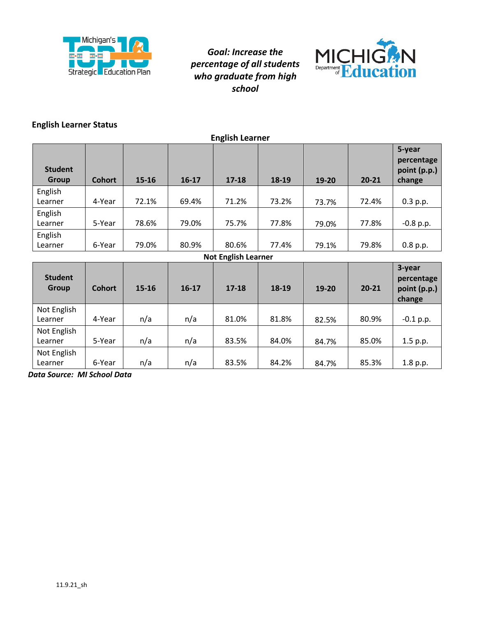



### **English Learner Status**

| <b>English Learner</b>         |               |       |         |                            |       |           |           |                                                |  |
|--------------------------------|---------------|-------|---------|----------------------------|-------|-----------|-----------|------------------------------------------------|--|
| <b>Student</b><br><b>Group</b> | <b>Cohort</b> | 15-16 | $16-17$ | $17 - 18$                  | 18-19 | $19 - 20$ | $20 - 21$ | 5-year<br>percentage<br>point (p.p.)<br>change |  |
| English<br>Learner             | 4-Year        | 72.1% | 69.4%   | 71.2%                      | 73.2% | 73.7%     | 72.4%     | 0.3 p.p.                                       |  |
| English<br>Learner             | 5-Year        | 78.6% | 79.0%   | 75.7%                      | 77.8% | 79.0%     | 77.8%     | $-0.8$ p.p.                                    |  |
| English<br>Learner             | 6-Year        | 79.0% | 80.9%   | 80.6%                      | 77.4% | 79.1%     | 79.8%     | 0.8 p.p.                                       |  |
|                                |               |       |         | <b>Not English Learner</b> |       |           |           |                                                |  |
| <b>Student</b><br><b>Group</b> | <b>Cohort</b> | 15-16 | $16-17$ | $17 - 18$                  | 18-19 | $19 - 20$ | $20 - 21$ | 3-year<br>percentage<br>point (p.p.)<br>change |  |
| Not English<br>Learner         | 4-Year        | n/a   | n/a     | 81.0%                      | 81.8% | 82.5%     | 80.9%     | $-0.1$ p.p.                                    |  |
| Not English<br>Learner         | 5-Year        | n/a   | n/a     | 83.5%                      | 84.0% | 84.7%     | 85.0%     | 1.5 p.p.                                       |  |
| Not English<br>Learner         | 6-Year        | n/a   | n/a     | 83.5%                      | 84.2% | 84.7%     | 85.3%     | 1.8 p.p.                                       |  |